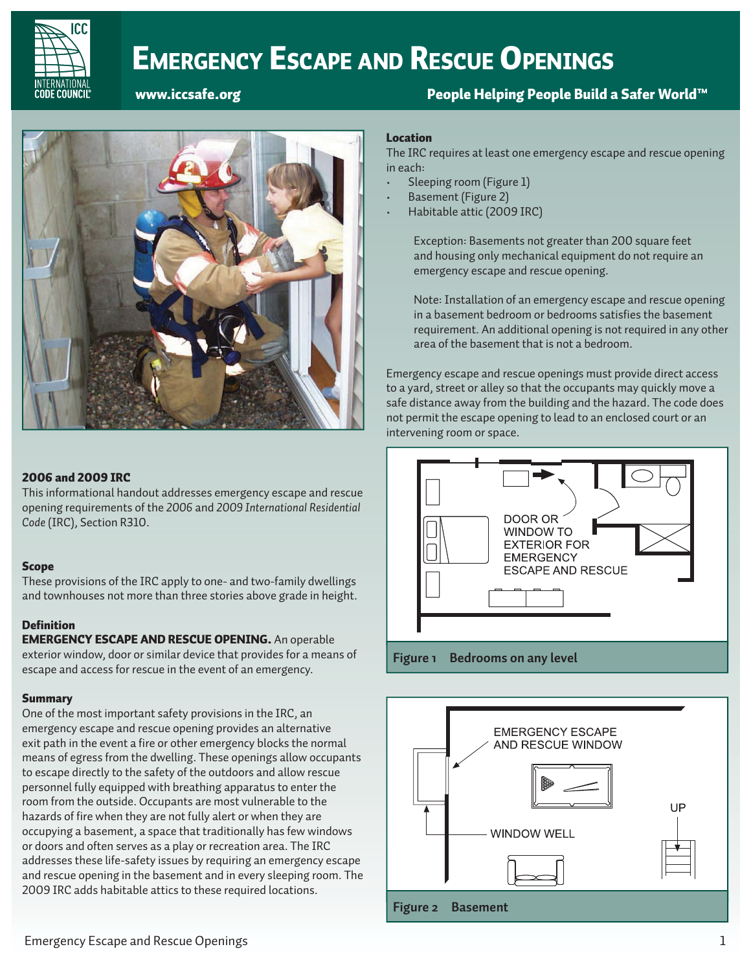

# EMERGENCY ESCAPE AND RESCUE OPENINGS

### www.iccsafe.org People Helping People Build a Safer World™ www.iccsafe.org People Helping People Build a Safer World™



#### 2006 and 2009 IRC

This informational handout addresses emergency escape and rescue opening requirements of the *2006* and *2009 International Residential Code* (IRC), Section R310.

#### Scope

These provisions of the IRC apply to one- and two-family dwellings and townhouses not more than three stories above grade in height.

#### **Definition**

EMERGENCY ESCAPE AND RESCUE OPENING. An operable exterior window, door or similar device that provides for a means of escape and access for rescue in the event of an emergency.

#### **Summary**

One of the most important safety provisions in the IRC, an emergency escape and rescue opening provides an alternative exit path in the event a fire or other emergency blocks the normal means of egress from the dwelling. These openings allow occupants to escape directly to the safety of the outdoors and allow rescue personnel fully equipped with breathing apparatus to enter the room from the outside. Occupants are most vulnerable to the hazards of fire when they are not fully alert or when they are occupying a basement, a space that traditionally has few windows or doors and often serves as a play or recreation area. The IRC addresses these life-safety issues by requiring an emergency escape and rescue opening in the basement and in every sleeping room. The 2009 IRC adds habitable attics to these required locations.

#### Location

The IRC requires at least one emergency escape and rescue opening in each:

- Sleeping room (Figure 1)
- Basement (Figure 2)
- Habitable attic (2009 IRC)

Exception: Basements not greater than 200 square feet and housing only mechanical equipment do not require an emergency escape and rescue opening.

Note: Installation of an emergency escape and rescue opening in a basement bedroom or bedrooms satisfies the basement requirement. An additional opening is not required in any other area of the basement that is not a bedroom.

Emergency escape and rescue openings must provide direct access to a yard, street or alley so that the occupants may quickly move a safe distance away from the building and the hazard. The code does not permit the escape opening to lead to an enclosed court or an intervening room or space.



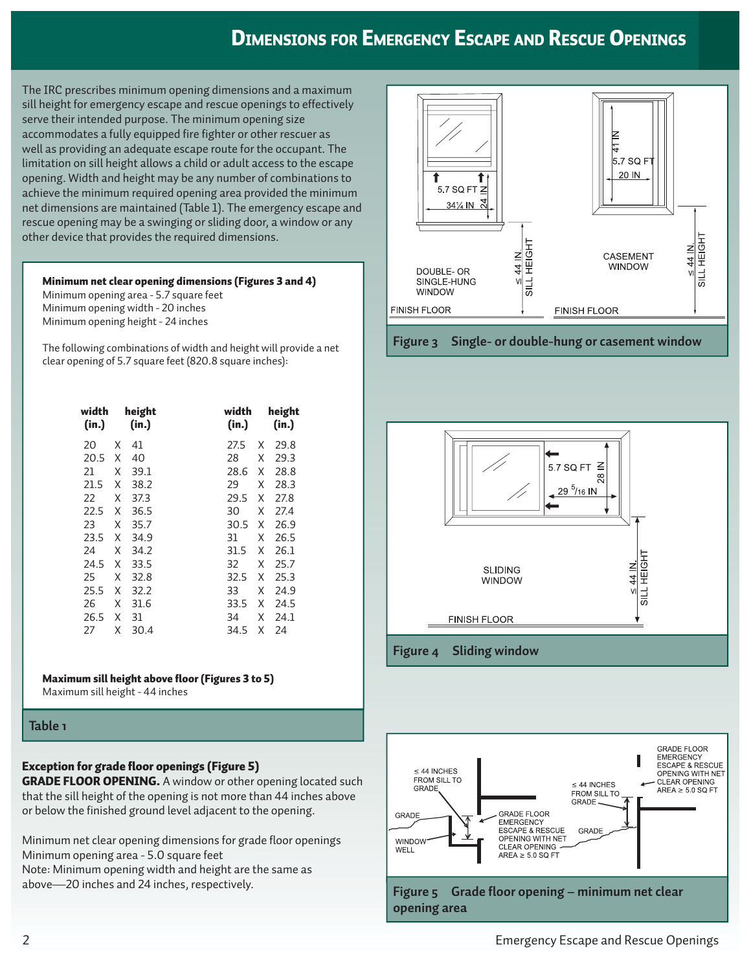### DIMENSIONS FOR EMERGENCY ESCAPE AND RESCUE OPENINGS

The IRC prescribes minimum opening dimensions and a maximum sill height for emergency escape and rescue openings to effectively serve their intended purpose. The minimum opening size accommodates a fully equipped fire fighter or other rescuer as well as providing an adequate escape route for the occupant. The limitation on sill height allows a child or adult access to the escape opening. Width and height may be any number of combinations to achieve the minimum required opening area provided the minimum net dimensions are maintained (Table 1). The emergency escape and rescue opening may be a swinging or sliding door, a window or any other device that provides the required dimensions.

#### Minimum net clear opening dimensions (Figures 3 and 4)

Minimum opening area - 5.7 square feet Minimum opening width - 20 inches Minimum opening height - 24 inches

The following combinations of width and height will provide a net clear opening of 5.7 square feet (820.8 square inches):

| width<br>(in.) |   | height<br>(in.) |      | width<br>(in.) | height<br>(in.) |
|----------------|---|-----------------|------|----------------|-----------------|
| 20             | X | 41              | 27.5 | X              | 29.8            |
| 20.5           | X | 40              | 28   | X              | 29.3            |
| 21             | X | 39.1            |      | 28.6<br>X      | 28.8            |
| 21.5           | Χ | 38.2            | 29   | Χ              | 28.3            |
| 22             | Χ | 37.3            |      | 29.5<br>Χ      | 27.8            |
| 22.5           | X | 36.5            | 30   | X              | 27.4            |
| 23             | X | 35.7            |      | 30.5<br>X      | 26.9            |
| 23.5           | Χ | 34.9            | 31   | Χ              | 26.5            |
| 24             | X | 34.2            | 31.5 | X              | 26.1            |
| 24.5           | X | 33.5            | 32   | X              | 25.7            |
| 25             | X | 32.8            |      | 32.5<br>Χ      | 25.3            |
| 25.5           | Χ | 32.2            | 33   | X              | 24.9            |
| 26             | Χ | 31.6            |      | 33.5<br>X      | 24.5            |
| 26.5           | Χ | 31              | 34   | X              | 24.1            |
| 27             | Χ | 30.4            |      | 34.5<br>Χ      | 24              |

#### Maximum sill height above floor (Figures 3 to 5)

Maximum sill height - 44 inches

#### **Table 1**

### Exception for grade floor openings (Figure 5)

**GRADE FLOOR OPENING.** A window or other opening located such that the sill height of the opening is not more than 44 inches above or below the finished ground level adjacent to the opening.

Minimum net clear opening dimensions for grade floor openings Minimum opening area - 5.0 square feet Note: Minimum opening width and height are the same as above—20 inches and 24 inches, respectively.





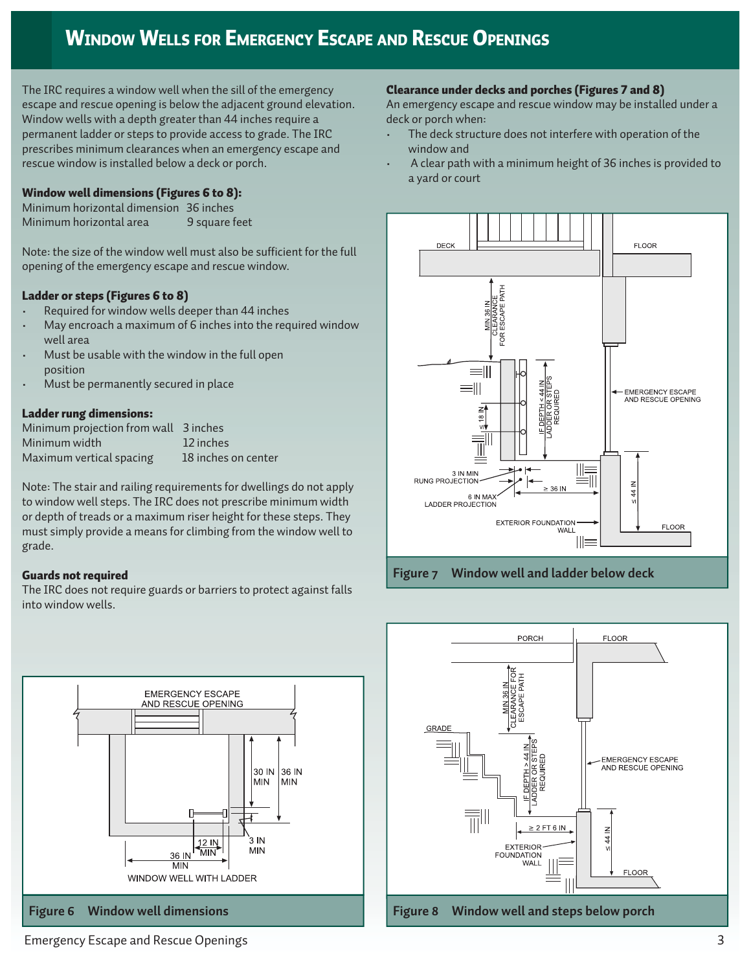# WINDOW WELLS FOR EMERGENCY ESCAPE AND RESCUE OPENINGS

The IRC requires a window well when the sill of the emergency escape and rescue opening is below the adjacent ground elevation. Window wells with a depth greater than 44 inches require a permanent ladder or steps to provide access to grade. The IRC prescribes minimum clearances when an emergency escape and rescue window is installed below a deck or porch.

#### Window well dimensions (Figures 6 to 8):

Minimum horizontal dimension 36 inches Minimum horizontal area 9 square feet

Note: the size of the window well must also be sufficient for the full opening of the emergency escape and rescue window.

#### Ladder or steps (Figures 6 to 8)

- Required for window wells deeper than 44 inches
- May encroach a maximum of 6 inches into the required window well area
- Must be usable with the window in the full open position
- Must be permanently secured in place

#### Ladder rung dimensions:

| Minimum projection from wall 3 inches |                     |
|---------------------------------------|---------------------|
| Minimum width                         | 12 inches           |
| Maximum vertical spacing              | 18 inches on center |

Note: The stair and railing requirements for dwellings do not apply to window well steps. The IRC does not prescribe minimum width or depth of treads or a maximum riser height for these steps. They must simply provide a means for climbing from the window well to grade.

#### Guards not required

The IRC does not require guards or barriers to protect against falls into window wells.



#### Clearance under decks and porches (Figures 7 and 8)

An emergency escape and rescue window may be installed under a deck or porch when:

- The deck structure does not interfere with operation of the window and
- A clear path with a minimum height of 36 inches is provided to a yard or court



**Figure 7 Window well and ladder below deck**



Emergency Escape and Rescue Openings 3